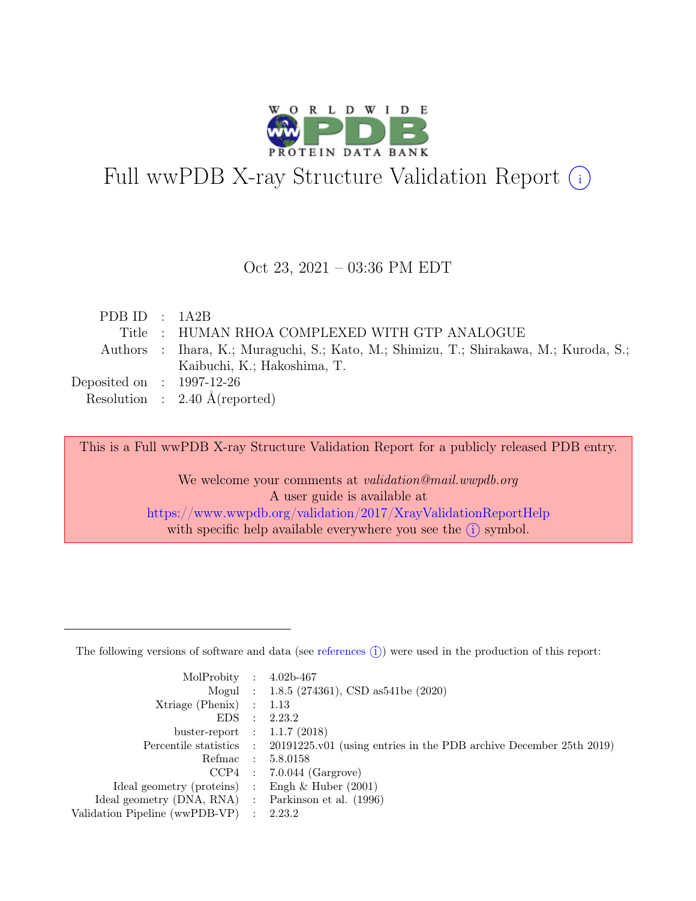

# Full wwPDB X-ray Structure Validation Report  $(i)$

### Oct 23, 2021 – 03:36 PM EDT

| PDB ID : $1A2B$             |                                                                                       |
|-----------------------------|---------------------------------------------------------------------------------------|
|                             | Title: HUMAN RHOA COMPLEXED WITH GTP ANALOGUE                                         |
|                             | Authors : Ihara, K.; Muraguchi, S.; Kato, M.; Shimizu, T.; Shirakawa, M.; Kuroda, S.; |
|                             | Kaibuchi, K.; Hakoshima, T.                                                           |
| Deposited on : $1997-12-26$ |                                                                                       |
|                             | Resolution : $2.40 \text{ Å}$ (reported)                                              |

This is a Full wwPDB X-ray Structure Validation Report for a publicly released PDB entry.

We welcome your comments at *validation@mail.wwpdb.org* A user guide is available at <https://www.wwpdb.org/validation/2017/XrayValidationReportHelp> with specific help available everywhere you see the  $(i)$  symbol.

The following versions of software and data (see [references](https://www.wwpdb.org/validation/2017/XrayValidationReportHelp#references)  $(i)$ ) were used in the production of this report:

| MolProbity : $4.02b-467$                            |                                                                                            |
|-----------------------------------------------------|--------------------------------------------------------------------------------------------|
|                                                     | Mogul : $1.8.5$ (274361), CSD as 541be (2020)                                              |
| $Xtriangle (Phenix)$ : 1.13                         |                                                                                            |
|                                                     | EDS : 2.23.2                                                                               |
| buster-report : $1.1.7$ (2018)                      |                                                                                            |
|                                                     | Percentile statistics : 20191225.v01 (using entries in the PDB archive December 25th 2019) |
|                                                     | Refmac : 5.8.0158                                                                          |
|                                                     | $CCP4$ : 7.0.044 (Gargrove)                                                                |
| Ideal geometry (proteins) : Engh $\&$ Huber (2001)  |                                                                                            |
| Ideal geometry (DNA, RNA) : Parkinson et al. (1996) |                                                                                            |
| Validation Pipeline (wwPDB-VP) : 2.23.2             |                                                                                            |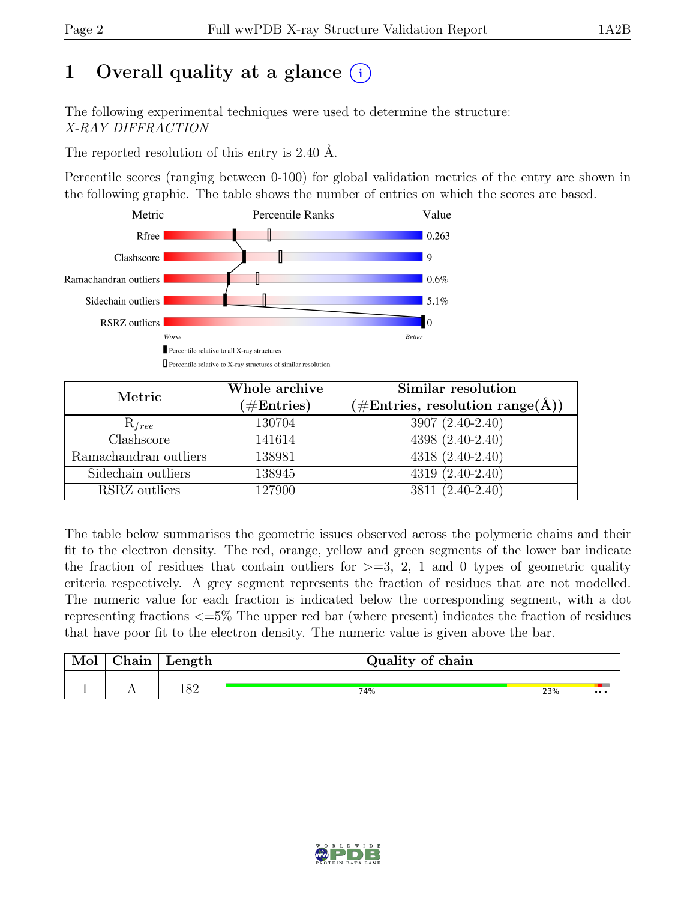# 1 Overall quality at a glance  $(i)$

The following experimental techniques were used to determine the structure: X-RAY DIFFRACTION

The reported resolution of this entry is 2.40 Å.

Percentile scores (ranging between 0-100) for global validation metrics of the entry are shown in the following graphic. The table shows the number of entries on which the scores are based.



| Metric                | Whole archive<br>$(\#Entries)$ | Similar resolution<br>$(\# \text{Entries}, \text{ resolution range}(\AA))$ |
|-----------------------|--------------------------------|----------------------------------------------------------------------------|
| $R_{free}$            | 130704                         | 3907 (2.40-2.40)                                                           |
| Clashscore            | 141614                         | 4398 (2.40-2.40)                                                           |
| Ramachandran outliers | 138981                         | $4318(2.40-2.40)$                                                          |
| Sidechain outliers    | 138945                         | $4319(2.40-2.40)$                                                          |
| RSRZ outliers         | 127900                         | 3811 (2.40-2.40)                                                           |

The table below summarises the geometric issues observed across the polymeric chains and their fit to the electron density. The red, orange, yellow and green segments of the lower bar indicate the fraction of residues that contain outliers for  $\geq$ =3, 2, 1 and 0 types of geometric quality criteria respectively. A grey segment represents the fraction of residues that are not modelled. The numeric value for each fraction is indicated below the corresponding segment, with a dot representing fractions <=5% The upper red bar (where present) indicates the fraction of residues that have poor fit to the electron density. The numeric value is given above the bar.

| Mol      | $\gamma$ hain | Length | Quality of chain |     |          |
|----------|---------------|--------|------------------|-----|----------|
| <b>.</b> | . .           | 182    | 74%              | 23% | $\cdots$ |

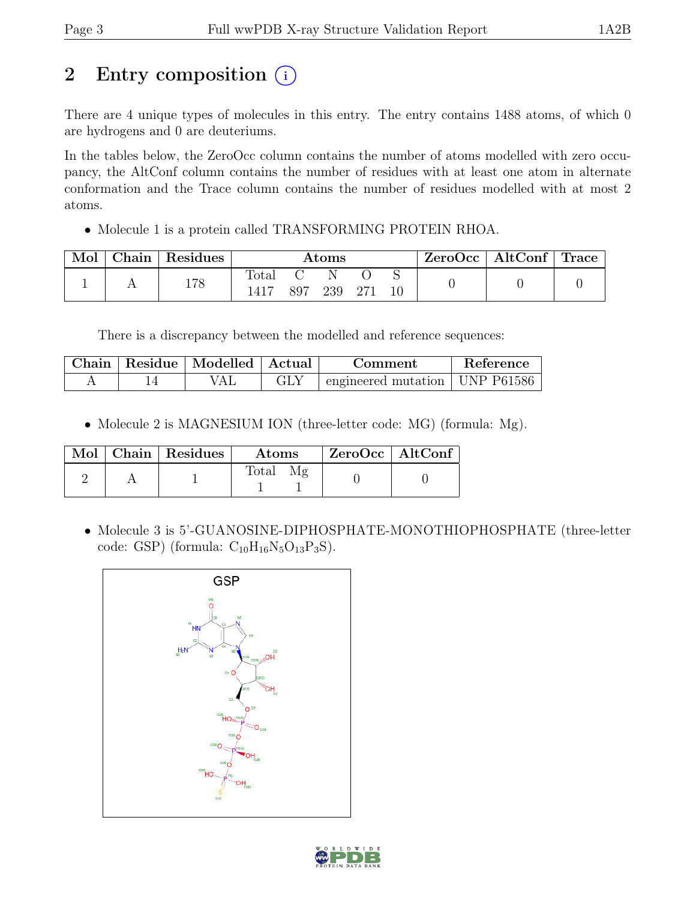# 2 Entry composition  $(i)$

There are 4 unique types of molecules in this entry. The entry contains 1488 atoms, of which 0 are hydrogens and 0 are deuteriums.

In the tables below, the ZeroOcc column contains the number of atoms modelled with zero occupancy, the AltConf column contains the number of residues with at least one atom in alternate conformation and the Trace column contains the number of residues modelled with at most 2 atoms.

• Molecule 1 is a protein called TRANSFORMING PROTEIN RHOA.

| Mol | Chain Residues | Atoms         |  |         |       | $\text{ZeroOcc}$   AltConf   Trace |  |
|-----|----------------|---------------|--|---------|-------|------------------------------------|--|
|     | 178            | Total<br>1417 |  | 897 239 | - 271 |                                    |  |

There is a discrepancy between the modelled and reference sequences:

| Chain   Residue   Modelled   Actual |  | Comment                                    | Reference |
|-------------------------------------|--|--------------------------------------------|-----------|
|                                     |  | $\pm$ engineered mutation $\pm$ UNP P61586 |           |

• Molecule 2 is MAGNESIUM ION (three-letter code: MG) (formula: Mg).

|  | $\boxed{\text{Mol}}$ Chain   Residues $\frac{1}{2}$ | Atoms        | $\mid$ ZeroOcc $\mid$ AltConf |  |
|--|-----------------------------------------------------|--------------|-------------------------------|--|
|  |                                                     | <b>Total</b> |                               |  |

• Molecule 3 is 5'-GUANOSINE-DIPHOSPHATE-MONOTHIOPHOSPHATE (three-letter code: GSP) (formula:  $C_{10}H_{16}N_5O_{13}P_3S$ ).



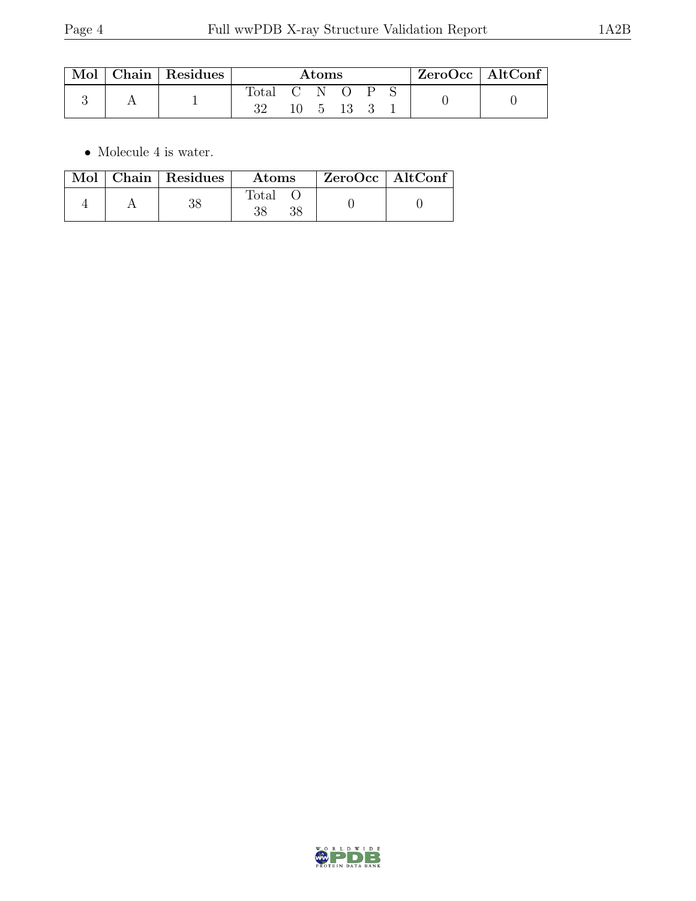| $\operatorname{Mol}$ $\mid$ | $\vert$ Chain $\vert$ Residues | Atoms       |         |  |          |              | $ZeroOcc \mid AltConf \mid$ |  |  |
|-----------------------------|--------------------------------|-------------|---------|--|----------|--------------|-----------------------------|--|--|
|                             |                                | Total<br>າາ | (; N () |  | - 5 13 3 | $\mathsf{P}$ |                             |  |  |

 $\bullet\,$  Molecule 4 is water.

|  | Mol   Chain   Residues | Atoms          | $ZeroOcc \   \ AltConf \$ |  |
|--|------------------------|----------------|---------------------------|--|
|  |                        | $_{\rm Total}$ |                           |  |

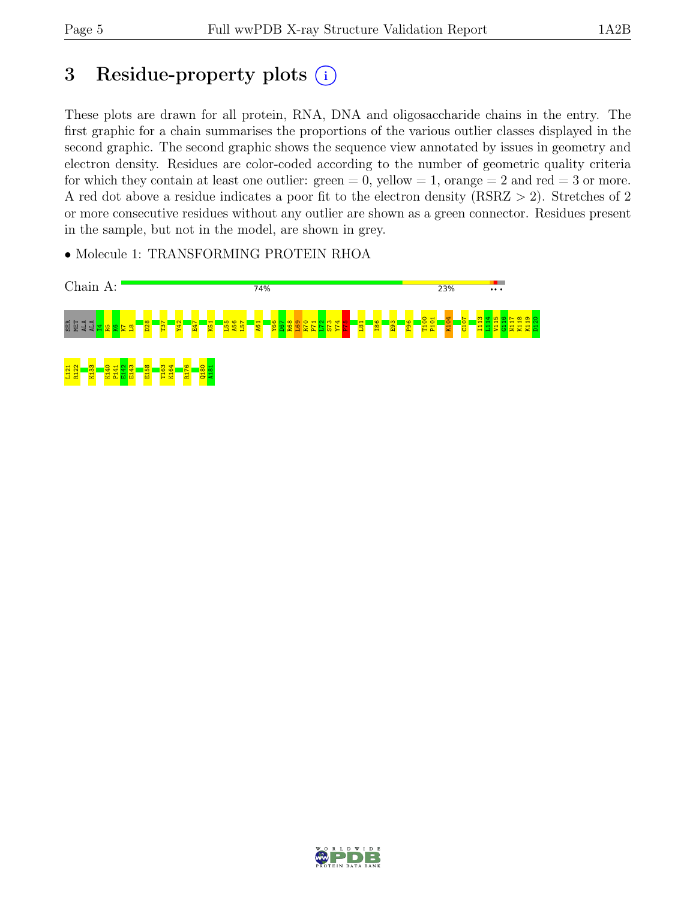# 3 Residue-property plots  $(i)$

These plots are drawn for all protein, RNA, DNA and oligosaccharide chains in the entry. The first graphic for a chain summarises the proportions of the various outlier classes displayed in the second graphic. The second graphic shows the sequence view annotated by issues in geometry and electron density. Residues are color-coded according to the number of geometric quality criteria for which they contain at least one outlier:  $green = 0$ , yellow  $= 1$ , orange  $= 2$  and red  $= 3$  or more. A red dot above a residue indicates a poor fit to the electron density (RSRZ > 2). Stretches of 2 or more consecutive residues without any outlier are shown as a green connector. Residues present in the sample, but not in the model, are shown in grey.

• Molecule 1: TRANSFORMING PROTEIN RHOA



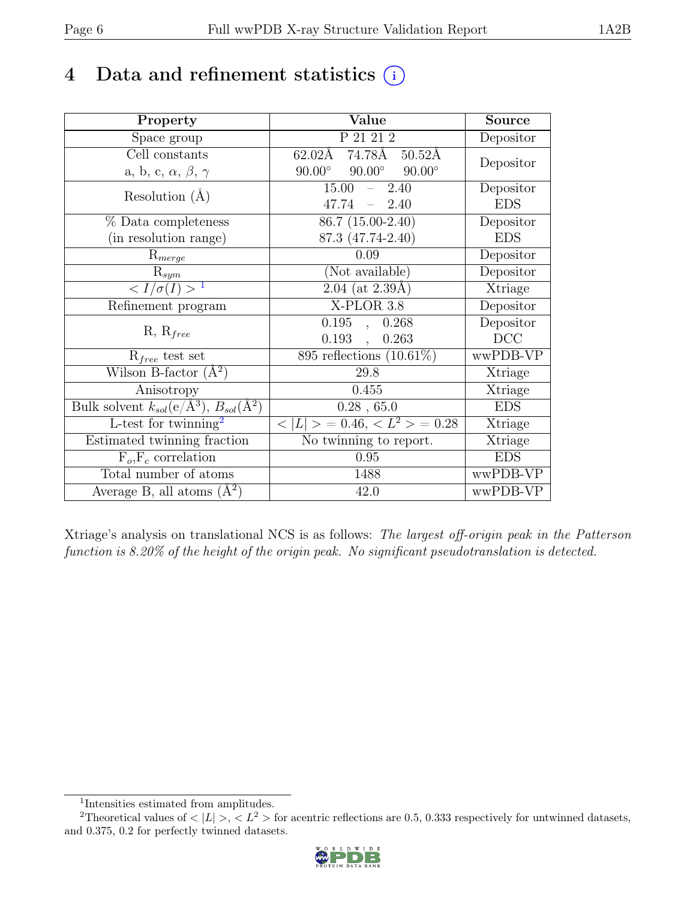# 4 Data and refinement statistics  $(i)$

| Property                                                             | Value                                           | <b>Source</b> |
|----------------------------------------------------------------------|-------------------------------------------------|---------------|
| Space group                                                          | P 21 21 2                                       | Depositor     |
| Cell constants                                                       | $62.02\text{\AA}$ 74.78Å<br>$50.52\text{\AA}$   |               |
| a, b, c, $\alpha$ , $\beta$ , $\gamma$                               | $90.00^\circ$<br>$90.00^\circ$<br>$90.00^\circ$ | Depositor     |
| Resolution $(A)$                                                     | 15.00<br>2.40<br>$\equiv$ .                     | Depositor     |
|                                                                      | 47.74<br>$-2.40$                                | <b>EDS</b>    |
| % Data completeness                                                  | 86.7 (15.00-2.40)                               | Depositor     |
| (in resolution range)                                                | 87.3 (47.74-2.40)                               | <b>EDS</b>    |
| $R_{merge}$                                                          | 0.09                                            | Depositor     |
| $R_{sym}$                                                            | (Not available)                                 | Depositor     |
| $\langle I/\sigma(I) \rangle$ <sup>1</sup>                           | $2.04$ (at $2.39\text{\AA})$                    | Xtriage       |
| Refinement program                                                   | X-PLOR 3.8                                      | Depositor     |
|                                                                      | 0.195,<br>0.268                                 | Depositor     |
| $R, R_{free}$                                                        | 0.193,<br>0.263                                 | DCC           |
| $R_{free}$ test set                                                  | 895 reflections $(10.61\%)$                     | wwPDB-VP      |
| Wilson B-factor $(A^2)$                                              | 29.8                                            | Xtriage       |
| Anisotropy                                                           | 0.455                                           | Xtriage       |
| Bulk solvent $k_{sol}(e/\mathring{A}^3)$ , $B_{sol}(\mathring{A}^2)$ | $0.28$ , 65.0                                   | <b>EDS</b>    |
| L-test for twinning <sup>2</sup>                                     | $< L >$ = 0.46, $< L^2 >$ = 0.28                | Xtriage       |
| Estimated twinning fraction                                          | No twinning to report.                          | Xtriage       |
| $\overline{F_o,F_c}$ correlation                                     | 0.95                                            | <b>EDS</b>    |
| Total number of atoms                                                | 1488                                            | wwPDB-VP      |
| Average B, all atoms $(A^2)$                                         | 42.0                                            | wwPDB-VP      |

Xtriage's analysis on translational NCS is as follows: The largest off-origin peak in the Patterson function is 8.20% of the height of the origin peak. No significant pseudotranslation is detected.

<sup>&</sup>lt;sup>2</sup>Theoretical values of  $\langle |L| \rangle$ ,  $\langle L^2 \rangle$  for acentric reflections are 0.5, 0.333 respectively for untwinned datasets, and 0.375, 0.2 for perfectly twinned datasets.



<span id="page-5-1"></span><span id="page-5-0"></span><sup>1</sup> Intensities estimated from amplitudes.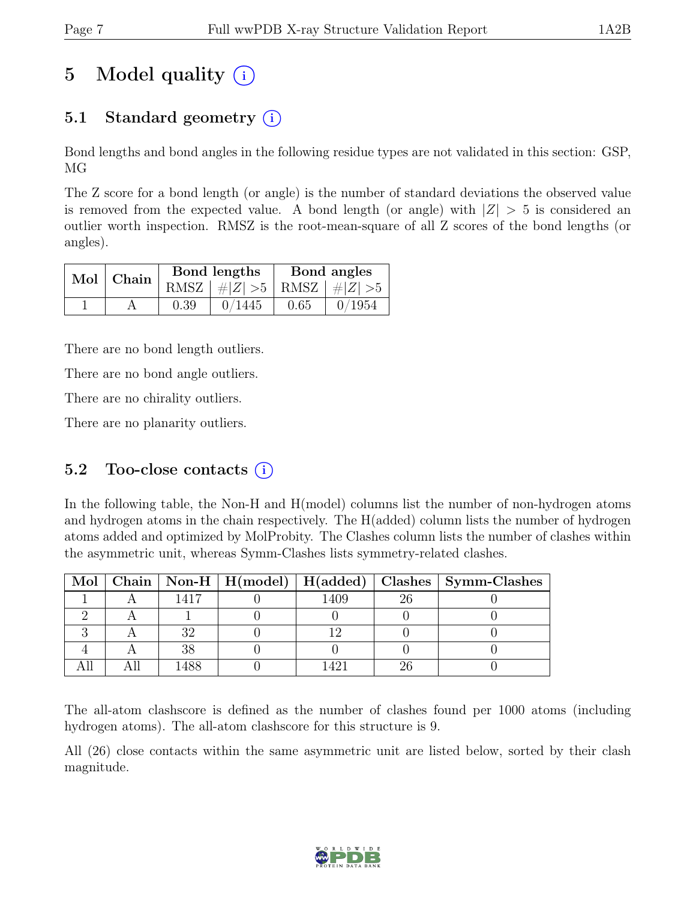# 5 Model quality  $(i)$

# 5.1 Standard geometry  $(i)$

Bond lengths and bond angles in the following residue types are not validated in this section: GSP, MG

The Z score for a bond length (or angle) is the number of standard deviations the observed value is removed from the expected value. A bond length (or angle) with  $|Z| > 5$  is considered an outlier worth inspection. RMSZ is the root-mean-square of all Z scores of the bond lengths (or angles).

| Mol   Chain |      | Bond lengths                    | Bond angles |        |  |
|-------------|------|---------------------------------|-------------|--------|--|
|             |      | RMSZ $ #Z  > 5$ RMSZ $ #Z  > 5$ |             |        |  |
|             | 0.39 | 0/1445                          | 0.65        | 0/1954 |  |

There are no bond length outliers.

There are no bond angle outliers.

There are no chirality outliers.

There are no planarity outliers.

### 5.2 Too-close contacts  $(i)$

In the following table, the Non-H and H(model) columns list the number of non-hydrogen atoms and hydrogen atoms in the chain respectively. The H(added) column lists the number of hydrogen atoms added and optimized by MolProbity. The Clashes column lists the number of clashes within the asymmetric unit, whereas Symm-Clashes lists symmetry-related clashes.

|  |      |           | Mol   Chain   Non-H   H(model)   H(added)   Clashes   Symm-Clashes |
|--|------|-----------|--------------------------------------------------------------------|
|  | 1417 | 1409      |                                                                    |
|  |      |           |                                                                    |
|  |      |           |                                                                    |
|  |      |           |                                                                    |
|  |      | $\Lambda$ |                                                                    |

The all-atom clashscore is defined as the number of clashes found per 1000 atoms (including hydrogen atoms). The all-atom clashscore for this structure is 9.

All (26) close contacts within the same asymmetric unit are listed below, sorted by their clash magnitude.

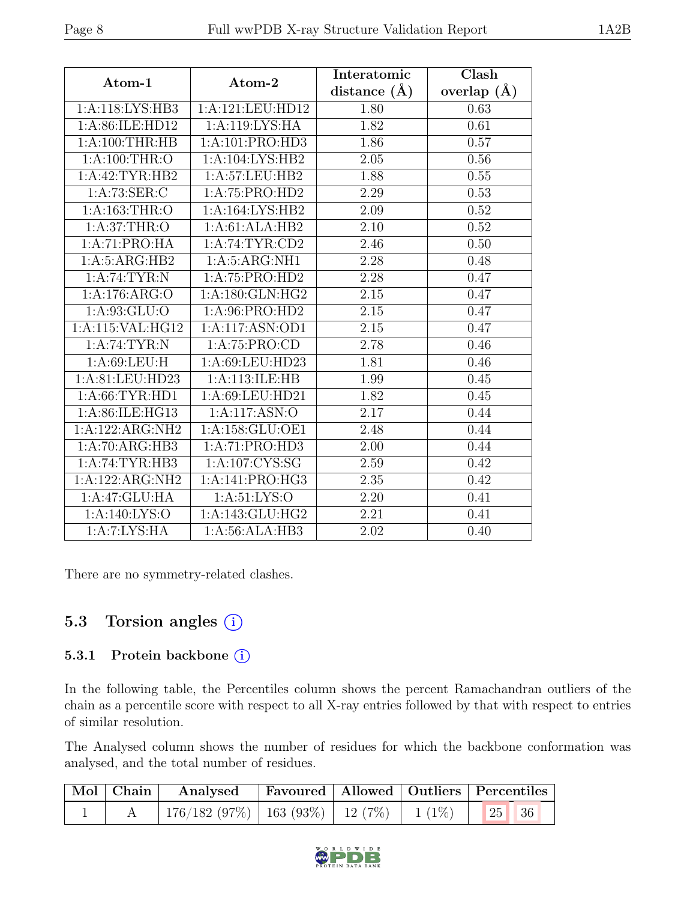| Atom-1             | Atom-2              | Interatomic      | Clash         |
|--------------------|---------------------|------------------|---------------|
|                    |                     | distance $(\AA)$ | overlap $(A)$ |
| 1: A:118: LYS: HB3 | 1:A:121:LEU:HD12    | 1.80             | 0.63          |
| 1: A:86: ILE:HD12  | 1:A:119:LYS:HA      | 1.82             | 0.61          |
| 1: A:100:THR:HB    | 1:A:101:PRO:HD3     | 1.86             | 0.57          |
| 1: A:100:THR:O     | 1:A:104:LYS:HB2     | 2.05             | 0.56          |
| 1:A:42:TYR:HB2     | 1:A:57:LEU:HB2      | 1.88             | 0.55          |
| 1:A:73:SER:C       | 1:A:75:PRO:HD2      | 2.29             | 0.53          |
| 1: A: 163: THR:O   | 1:A:164:LYS:HB2     | 2.09             | 0.52          |
| 1: A:37:THR:O      | 1:A:61:ALA:HB2      | 2.10             | 0.52          |
| 1:A:71:PRO:HA      | 1:A:74:TYR:CD2      | 2.46             | $0.50\,$      |
| 1: A:5: ARG:HB2    | 1: A:5: ARG:NH1     | 2.28             | 0.48          |
| 1: A:74:TYR:N      | 1:A:75:PRO:HD2      | 2.28             | 0.47          |
| 1:A:176:ARG:O      | 1: A: 180: GLN: HG2 | $2.15\,$         | 0.47          |
| 1:A:93:GLU:O       | 1: A:96: PRO:HD2    | 2.15             | 0.47          |
| 1:A:115:VAL:HG12   | 1:A:117:ASN:OD1     | 2.15             | 0.47          |
| 1: A:74:TYR:N      | 1:A:75:PRO:CD       | 2.78             | 0.46          |
| 1: A:69:LEU:H      | 1:A:69:LEU:HD23     | 1.81             | 0.46          |
| 1:A:81:LEU:HD23    | 1: A:113: ILE: HB   | 1.99             | 0.45          |
| 1: A:66:TYR:HD1    | 1: A:69:LEU:HD21    | 1.82             | 0.45          |
| 1:A:86:ILE:HG13    | 1:A:117:ASN:O       | 2.17             | 0.44          |
| 1:A:122:ARG:NH2    | 1:A:158:GLU:OE1     | 2.48             | 0.44          |
| 1:A:70:ARG:HB3     | 1:A:71:PRO:HD3      | 2.00             | 0.44          |
| 1:A:74:TYR:HB3     | 1: A: 107: CYS: SG  | 2.59             | 0.42          |
| 1:A:122:ARG:NH2    | 1:A:141:PRO:HG3     | 2.35             | 0.42          |
| 1:A:47:GLU:HA      | 1: A:51: LYS:O      | 2.20             | 0.41          |
| 1:A:140:LYS:O      | 1:A:143:GLU:HG2     | 2.21             | 0.41          |
| 1:A:7:LYS:HA       | 1:A:56:ALA:HB3      | 2.02             | 0.40          |

There are no symmetry-related clashes.

## 5.3 Torsion angles  $(i)$

#### 5.3.1 Protein backbone (i)

In the following table, the Percentiles column shows the percent Ramachandran outliers of the chain as a percentile score with respect to all X-ray entries followed by that with respect to entries of similar resolution.

The Analysed column shows the number of residues for which the backbone conformation was analysed, and the total number of residues.

|  | Mol   Chain   Analysed   Favoured   Allowed   Outliers   Percentiles |  |  |
|--|----------------------------------------------------------------------|--|--|
|  | 176/182 (97%)   163 (93%)   12 (7%)   1 (1%)   25   36               |  |  |

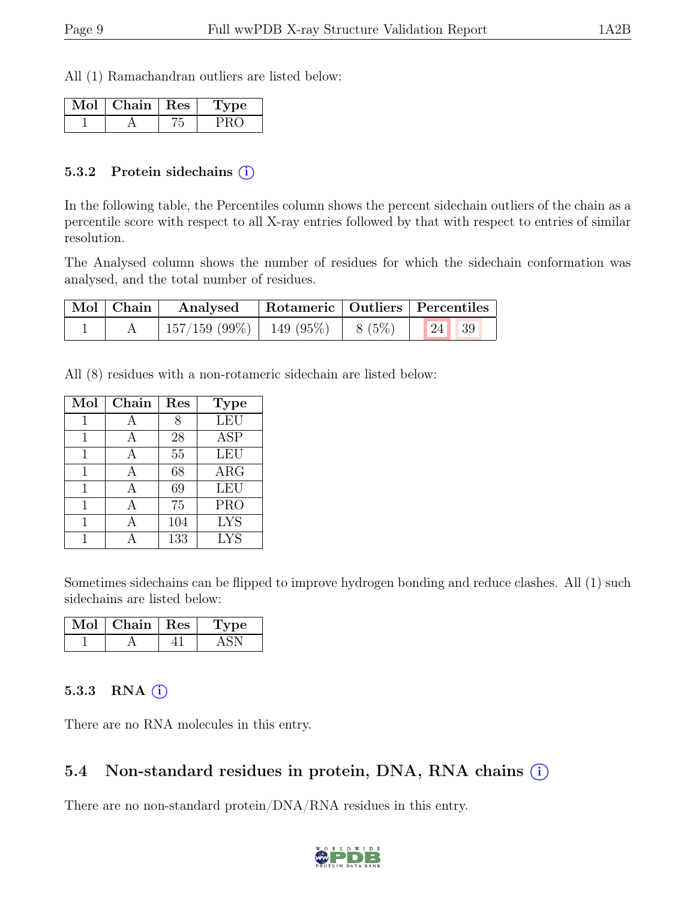All (1) Ramachandran outliers are listed below:

| Aol | Chain   Res | Type |
|-----|-------------|------|
|     |             |      |

#### 5.3.2 Protein sidechains (i)

In the following table, the Percentiles column shows the percent sidechain outliers of the chain as a percentile score with respect to all X-ray entries followed by that with respect to entries of similar resolution.

The Analysed column shows the number of residues for which the sidechain conformation was analysed, and the total number of residues.

| Mol Chain | Analysed                                            | Rotameric   Outliers   Percentiles |  |  |
|-----------|-----------------------------------------------------|------------------------------------|--|--|
|           | $\mid$ 157/159 (99%)   149 (95%)   8 (5%)   24   39 |                                    |  |  |

All (8) residues with a non-rotameric sidechain are listed below:

| Mol | Chain | Res | <b>Type</b> |
|-----|-------|-----|-------------|
|     |       | 8   | <b>LEU</b>  |
| 1   |       | 28  | <b>ASP</b>  |
| 1   |       | 55  | <b>LEU</b>  |
| 1   | А     | 68  | ARG         |
| 1   | А     | 69  | LEU         |
|     |       | 75  | <b>PRO</b>  |
|     |       | 104 | <b>LYS</b>  |
|     |       | 133 | <b>LYS</b>  |

Sometimes sidechains can be flipped to improve hydrogen bonding and reduce clashes. All (1) such sidechains are listed below:

| Vlol | Chain   Res | pe |
|------|-------------|----|
|      |             |    |

#### 5.3.3 RNA  $(i)$

There are no RNA molecules in this entry.

### 5.4 Non-standard residues in protein, DNA, RNA chains  $(i)$

There are no non-standard protein/DNA/RNA residues in this entry.

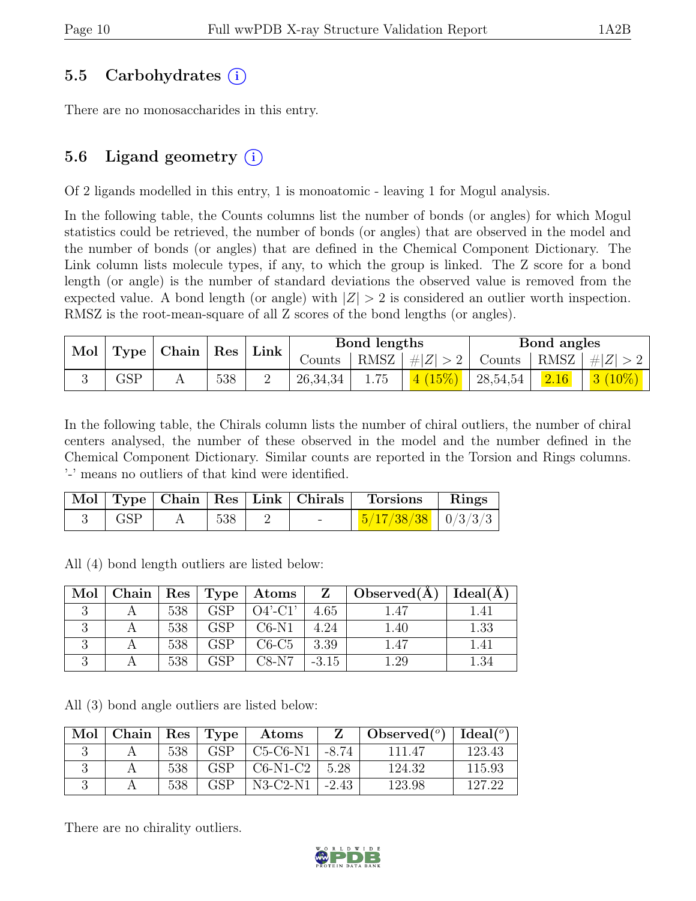### 5.5 Carbohydrates (i)

There are no monosaccharides in this entry.

# 5.6 Ligand geometry  $(i)$

Of 2 ligands modelled in this entry, 1 is monoatomic - leaving 1 for Mogul analysis.

In the following table, the Counts columns list the number of bonds (or angles) for which Mogul statistics could be retrieved, the number of bonds (or angles) that are observed in the model and the number of bonds (or angles) that are defined in the Chemical Component Dictionary. The Link column lists molecule types, if any, to which the group is linked. The Z score for a bond length (or angle) is the number of standard deviations the observed value is removed from the expected value. A bond length (or angle) with  $|Z| > 2$  is considered an outlier worth inspection. RMSZ is the root-mean-square of all Z scores of the bond lengths (or angles).

| Mol   Type   Chain   Res |     |      |                     | Bond lengths |             |          | Bond angles |                                 |
|--------------------------|-----|------|---------------------|--------------|-------------|----------|-------------|---------------------------------|
|                          |     | Link | $\sim$ ounts $\sim$ | RMSZ         | $ \#Z  > 2$ |          |             | Counts   RMSZ $\mid \#  Z  > 2$ |
| $\operatorname{GSP}$     | 538 |      | 26,34,34            | 1.75         | 4(15%)      | 28,54,54 | 2.16        | $\mid$ 3 $(10\%)$ $\mid$        |

In the following table, the Chirals column lists the number of chiral outliers, the number of chiral centers analysed, the number of these observed in the model and the number defined in the Chemical Component Dictionary. Similar counts are reported in the Torsion and Rings columns. '-' means no outliers of that kind were identified.

|            |        | Mol   Type   Chain   Res   Link   Chirals | $\top$ Torsions $\top$ Rings    |  |
|------------|--------|-------------------------------------------|---------------------------------|--|
| $\mid$ GSP | $+538$ |                                           | $\frac{5}{17}{38/38}$   0/3/3/3 |  |

All (4) bond length outliers are listed below:

| Mol |     |            | Chain   Res   Type   Atoms |         | $Z \mid Observed(A)$ | Ideal(A) |
|-----|-----|------------|----------------------------|---------|----------------------|----------|
|     | 538 | <b>GSP</b> | $O4'$ -C1'                 | 4.65    | l.47                 |          |
|     | 538 | GSP        | $C6-N1$                    | 4.24    | 1.40                 | 1.33     |
|     | 538 |            | $C6-C5$                    | 3.39    | 1.47                 |          |
|     | 538 | GSP        | $C8-N7$                    | $-3.15$ | .29                  |          |

All (3) bond angle outliers are listed below:

| Mol | Chain |     | Res   Type | Atoms      |         | Observed $(°)$ | Ideal(°) |
|-----|-------|-----|------------|------------|---------|----------------|----------|
|     |       | 538 | <b>GSP</b> | $C5-C6-N1$ | -8.74   | 111.47         | 123.43   |
|     |       | 538 | GSP        | $C6-N1-C2$ | 5.28    | 124.32         | 115.93   |
|     |       | 538 | GSP        | $N3-C2-N1$ | $-2.43$ | 123.98         | 197.99   |

There are no chirality outliers.

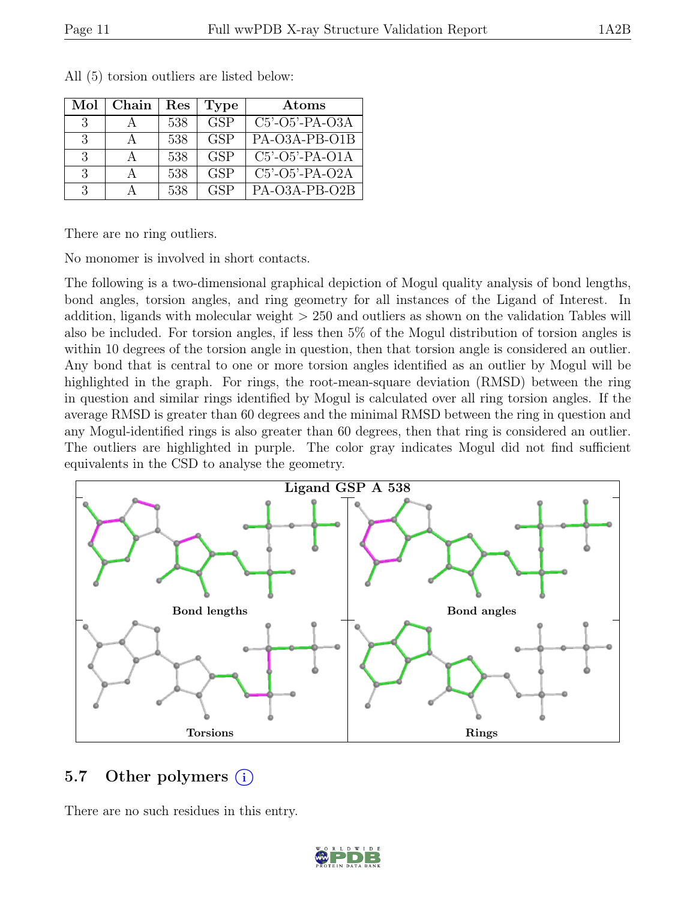| Mol           | Chain | Res | <b>Type</b>             | Atoms            |
|---------------|-------|-----|-------------------------|------------------|
| $\mathcal{R}$ |       | 538 | $\overline{\text{GSP}}$ | $C5'-O5'-PA-O3A$ |
| -3            |       | 538 | <b>GSP</b>              | PA-O3A-PB-O1B    |
| -3            |       | 538 | <b>GSP</b>              | $C5'-O5'-PA-O1A$ |
| $\mathcal{R}$ |       | 538 | <b>GSP</b>              | $C5'-O5'-PA-O2A$ |
| $\mathcal{R}$ |       | 538 | <b>GSP</b>              | PA-O3A-PB-O2B    |

All (5) torsion outliers are listed below:

There are no ring outliers.

No monomer is involved in short contacts.

The following is a two-dimensional graphical depiction of Mogul quality analysis of bond lengths, bond angles, torsion angles, and ring geometry for all instances of the Ligand of Interest. In addition, ligands with molecular weight > 250 and outliers as shown on the validation Tables will also be included. For torsion angles, if less then 5% of the Mogul distribution of torsion angles is within 10 degrees of the torsion angle in question, then that torsion angle is considered an outlier. Any bond that is central to one or more torsion angles identified as an outlier by Mogul will be highlighted in the graph. For rings, the root-mean-square deviation (RMSD) between the ring in question and similar rings identified by Mogul is calculated over all ring torsion angles. If the average RMSD is greater than 60 degrees and the minimal RMSD between the ring in question and any Mogul-identified rings is also greater than 60 degrees, then that ring is considered an outlier. The outliers are highlighted in purple. The color gray indicates Mogul did not find sufficient equivalents in the CSD to analyse the geometry.



### 5.7 Other polymers (i)

There are no such residues in this entry.

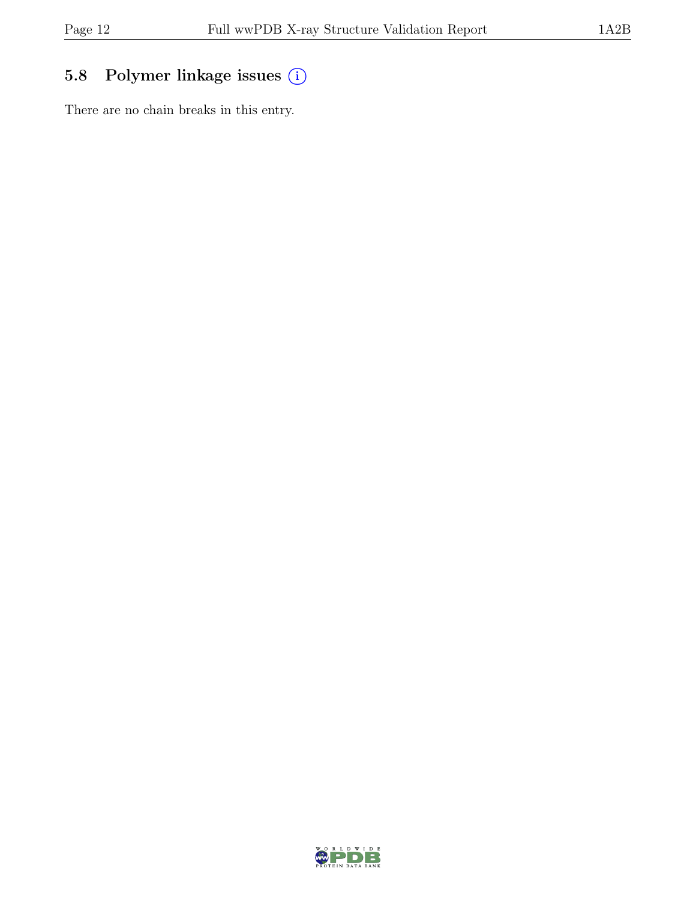# 5.8 Polymer linkage issues (i)

There are no chain breaks in this entry.

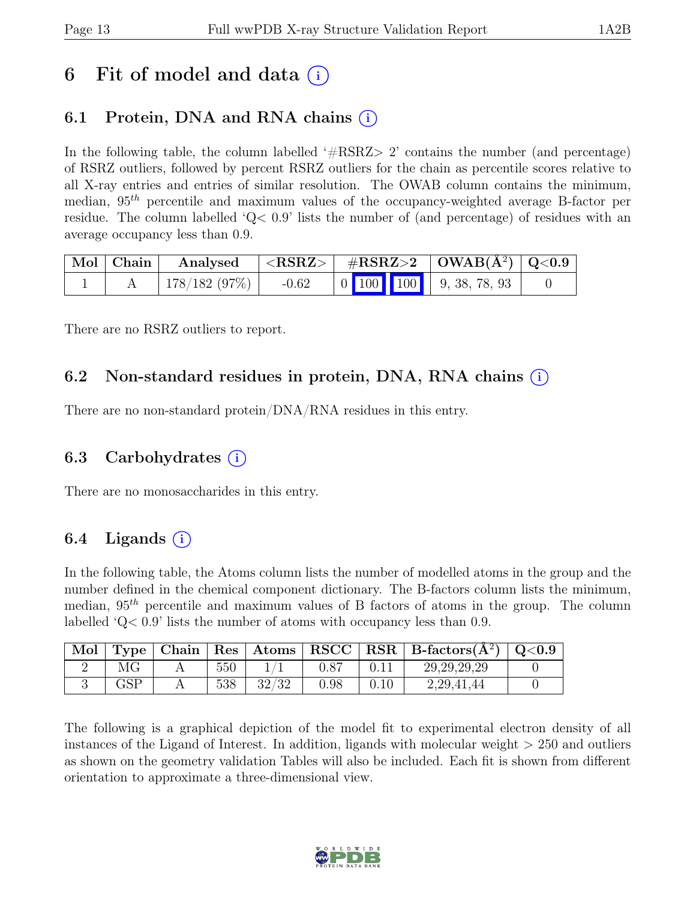# 6 Fit of model and data  $(i)$

# 6.1 Protein, DNA and RNA chains  $(i)$

In the following table, the column labelled  $#RSRZ>2$  contains the number (and percentage) of RSRZ outliers, followed by percent RSRZ outliers for the chain as percentile scores relative to all X-ray entries and entries of similar resolution. The OWAB column contains the minimum, median,  $95<sup>th</sup>$  percentile and maximum values of the occupancy-weighted average B-factor per residue. The column labelled ' $Q<.9$ ' lists the number of (and percentage) of residues with an average occupancy less than 0.9.

| Mol   Chain | Analysed     | $ \langle \mathrm{RSRZ}\rangle $ |                                                                                    | $\#\text{RSRZ}>2$   OWAB( $\AA^2$ )   Q<0.9 |  |
|-------------|--------------|----------------------------------|------------------------------------------------------------------------------------|---------------------------------------------|--|
|             | 178/182(97%) | $-0.62$                          | $\begin{array}{ c c c c c c c c } \hline \end{array}$ 0 100 100 100 100 38, 78, 93 |                                             |  |

There are no RSRZ outliers to report.

### 6.2 Non-standard residues in protein, DNA, RNA chains (i)

There are no non-standard protein/DNA/RNA residues in this entry.

### 6.3 Carbohydrates  $(i)$

There are no monosaccharides in this entry.

### 6.4 Ligands  $(i)$

In the following table, the Atoms column lists the number of modelled atoms in the group and the number defined in the chemical component dictionary. The B-factors column lists the minimum, median,  $95<sup>th</sup>$  percentile and maximum values of B factors of atoms in the group. The column labelled 'Q< 0.9' lists the number of atoms with occupancy less than 0.9.

| Mol | Type                 | $\mid$ Chain $\mid$ |     |       |               |      | $\mid$ Res $\mid$ Atoms $\mid$ RSCC $\mid$ RSR $\mid$ B-factors( $A^2$ ) $\mid$ | Q <sub>0.9</sub> |
|-----|----------------------|---------------------|-----|-------|---------------|------|---------------------------------------------------------------------------------|------------------|
|     |                      |                     | 550 |       | $0.8^{\circ}$ |      | 29, 29, 29, 29                                                                  |                  |
|     | $\operatorname{GSP}$ |                     | 538 | 32/32 | 0.98          | 0.10 | 2, 29, 41, 44                                                                   |                  |

The following is a graphical depiction of the model fit to experimental electron density of all instances of the Ligand of Interest. In addition, ligands with molecular weight  $> 250$  and outliers as shown on the geometry validation Tables will also be included. Each fit is shown from different orientation to approximate a three-dimensional view.